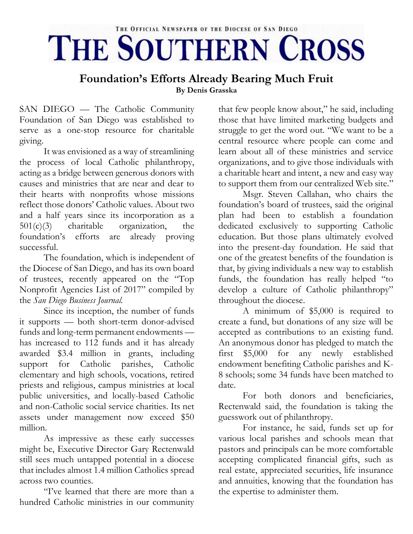## THE OFFICIAL NEWSPAPER OF THE DIOCESE OF SAN DIEGO THE SOUTHERN CROSS

## **Foundation's Efforts Already Bearing Much Fruit By Denis Grasska**

SAN DIEGO — The Catholic Community Foundation of San Diego was established to serve as a one-stop resource for charitable giving.

It was envisioned as a way of streamlining the process of local Catholic philanthropy, acting as a bridge between generous donors with causes and ministries that are near and dear to their hearts with nonprofits whose missions reflect those donors' Catholic values. About two and a half years since its incorporation as a 501(c)(3) charitable organization, the foundation's efforts are already proving successful.

The foundation, which is independent of the Diocese of San Diego, and has its own board of trustees, recently appeared on the "Top Nonprofit Agencies List of 2017" compiled by the *San Diego Business Journal.*

Since its inception, the number of funds it supports — both short-term donor-advised funds and long-term permanent endowments has increased to 112 funds and it has already awarded \$3.4 million in grants, including support for Catholic parishes, Catholic elementary and high schools, vocations, retired priests and religious, campus ministries at local public universities, and locally-based Catholic and non-Catholic social service charities. Its net assets under management now exceed \$50 million.

As impressive as these early successes might be, Executive Director Gary Rectenwald still sees much untapped potential in a diocese that includes almost 1.4 million Catholics spread across two counties.

"I've learned that there are more than a hundred Catholic ministries in our community

that few people know about," he said, including those that have limited marketing budgets and struggle to get the word out. "We want to be a central resource where people can come and learn about all of these ministries and service organizations, and to give those individuals with a charitable heart and intent, a new and easy way to support them from our centralized Web site."

Msgr. Steven Callahan, who chairs the foundation's board of trustees, said the original plan had been to establish a foundation dedicated exclusively to supporting Catholic education. But those plans ultimately evolved into the present-day foundation. He said that one of the greatest benefits of the foundation is that, by giving individuals a new way to establish funds, the foundation has really helped "to develop a culture of Catholic philanthropy" throughout the diocese.

A minimum of \$5,000 is required to create a fund, but donations of any size will be accepted as contributions to an existing fund. An anonymous donor has pledged to match the first \$5,000 for any newly established endowment benefiting Catholic parishes and K-8 schools; some 34 funds have been matched to date.

For both donors and beneficiaries, Rectenwald said, the foundation is taking the guesswork out of philanthropy.

For instance, he said, funds set up for various local parishes and schools mean that pastors and principals can be more comfortable accepting complicated financial gifts, such as real estate, appreciated securities, life insurance and annuities, knowing that the foundation has the expertise to administer them.